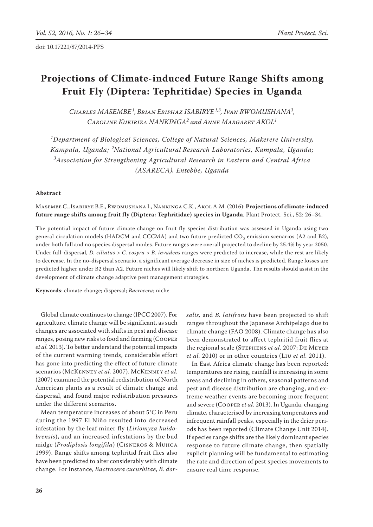# **Projections of Climate-induced Future Range Shifts among Fruit Fly (Diptera: Tephritidae) Species in Uganda**

*Charles Masembe<sup>1</sup> , Brian Eriphaz Isabirye1,3, Ivan Rwomushana3 , Caroline Kukiriza Nankinga<sup>2</sup> and Anne Margaret Akol<sup>1</sup>*

*1 Department of Biological Sciences, College of Natural Sciences, Makerere University, Kampala, Uganda; <sup>2</sup> National Agricultural Research Laboratories, Kampala, Uganda; 3 Association for Strengthening Agricultural Research in Eastern and Central Africa (ASARECA), Entebbe, Uganda*

### **Abstract**

Masembe C.,Isabirye B.E., Rwomushana I., Nankinga C.K., Akol A.M. (2016): **Projections of climate-induced future range shifts among fruit fly (Diptera: Tephritidae) species in Uganda**. Plant Protect. Sci., 52: 26–34.

The potential impact of future climate change on fruit fly species distribution was assessed in Uganda using two general circulation models (HADCM and CCCMA) and two future predicted CO<sub>2</sub> emission scenarios (A2 and B2), under both full and no species dispersal modes. Future ranges were overall projected to decline by 25.4% by year 2050. Under full-dispersal, *D. ciliatus > C. cosyra > B. invadens* ranges were predicted to increase, while the rest are likely to decrease. In the no-dispersal scenario, a significant average decrease in size of niches is predicted. Range losses are predicted higher under B2 than A2. Future niches will likely shift to northern Uganda. The results should assist in the development of climate change adaptive pest management strategies.

**Keywords**: climate change; dispersal; *Bacrocera*; niche

Global climate continues to change (IPCC 2007). For agriculture, climate change will be significant, as such changes are associated with shifts in pest and disease ranges, posing new risks to food and farming (Cooper *et al.* 2013). To better understand the potential impacts of the current warming trends, considerable effort has gone into predicting the effect of future climate scenarios (McKenney *et al.* 2007). McKenney *et al.* (2007) examined the potential redistribution of North American plants as a result of climate change and dispersal, and found major redistribution pressures under the different scenarios.

Mean temperature increases of about 5°C in Peru during the 1997 El Niño resulted into decreased infestation by the leaf miner fly (*Liriomyza huidobrensis*), and an increased infestations by the bud midge (*Prodiplosis longifila*) (Cisneros & Mujica 1999). Range shifts among tephritid fruit flies also have been predicted to alter considerably with climate change. For instance, *Bactrocera cucurbitae*, *B. dor-* *salis,* and *B. latifrons* have been projected to shift ranges throughout the Japanese Archipelago due to climate change (FAO 2008). Climate change has also been demonstrated to affect tephritid fruit flies at the regional scale (Stephens *et al.* 2007; De Meyer *et al.* 2010) or in other countries (Liu *et al.* 2011).

In East Africa climate change has been reported: temperatures are rising, rainfall is increasing in some areas and declining in others, seasonal patterns and pest and disease distribution are changing, and extreme weather events are becoming more frequent and severe (Cooper *et al.* 2013). In Uganda, changing climate, characterised by increasing temperatures and infrequent rainfall peaks, especially in the drier periods has been reported (Climate Change Unit 2014). If species range shifts are the likely dominant species response to future climate change, then spatially explicit planning will be fundamental to estimating the rate and direction of pest species movements to ensure real time response.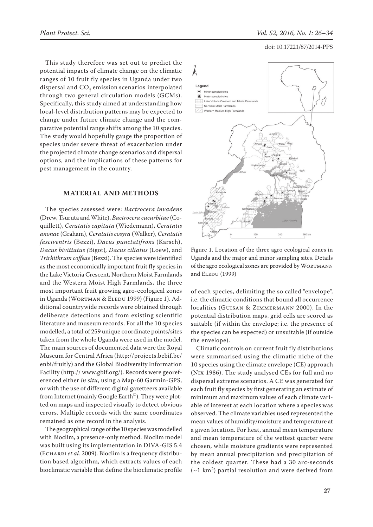This study therefore was set out to predict the potential impacts of climate change on the climatic ranges of 10 fruit fly species in Uganda under two dispersal and  $CO<sub>2</sub>$  emission scenarios interpolated through two general circulation models (GCMs). Specifically, this study aimed at understanding how local-level distribution patterns may be expected to change under future climate change and the comparative potential range shifts among the 10 species. The study would hopefully gauge the proportion of species under severe threat of exacerbation under the projected climate change scenarios and dispersal options, and the implications of these patterns for pest management in the country.

## **MATERIAL AND METHODS**

The species assessed were: *Bactrocera invadens*  (Drew, Tsuruta and White), *Bactrocera cucurbitae* (Coquillett), *Ceratatis capitata* (Wiedemann), *Ceratatis anonae* (Graham), *Ceratatis cosyra* (Walker), *Ceratatis fasciventris* (Bezzi), *Dacus punctatifrons* (Karsch), *Dacus bivittatus (*Bigot)*, Dacus ciliatus* (Loew), and *Trirhithrum coffeae* (Bezzi). The species were identified as the most economically important fruit fly species in the Lake Victoria Crescent, Northern Moist Farmlands and the Western Moist High Farmlands, the three most important fruit growing agro-ecological zones in Uganda (WORTMAN & ELEDU 1999) (Figure 1). Additional countrywide records were obtained through deliberate detections and from existing scientific literature and museum records. For all the 10 species modelled, a total of 259 unique coordinate points/sites taken from the whole Uganda were used in the model. The main sources of documented data were the Royal Museum for Central Africa (http://projects.bebif.be/ enbi/fruitly) and the Global Biodiversity Information Facility (http:// www.gbif.org/). Records were georeferenced either *in situ*, using a Map-60 Garmin-GPS, or with the use of different digital gazetteers available from Internet (mainly Google Earth©). They were plotted on maps and inspected visually to detect obvious errors. Multiple records with the same coordinates remained as one record in the analysis.

The geographical range of the 10 species was modelled with Bioclim, a presence-only method. Bioclim model was built using its implementation in DIVA-GIS 5.4 (ECHARRI *et al.* 2009). Bioclim is a frequency distribution based algorithm, which extracts values of each bioclimatic variable that define the bioclimatic profile



Figure 1. Location of the three agro ecological zones in Uganda and the major and minor sampling sites. Details of the agro ecological zones are provided by Wortmann and ELEDU (1999)

of each species, delimiting the so called "envelope", i.e. the climatic conditions that bound all occurrence localities (Guisan & Zimmermann 2000). In the potential distribution maps, grid cells are scored as suitable (if within the envelope; i.e. the presence of the species can be expected) or unsuitable (if outside the envelope).

Climatic controls on current fruit fly distributions were summarised using the climatic niche of the 10 species using the climate envelope (CE) approach (Nix 1986). The study analysed CEs for full and no dispersal extreme scenarios. A CE was generated for each fruit fly species by first generating an estimate of minimum and maximum values of each climate variable of interest at each location where a species was observed. The climate variables used represented the mean values of humidity/moisture and temperature at a given location. For heat, annual mean temperature and mean temperature of the wettest quarter were chosen, while moisture gradients were represented by mean annual precipitation and precipitation of the coldest quarter. These had a 30 arc-seconds  $({\sim}1$  km<sup>2</sup>) partial resolution and were derived from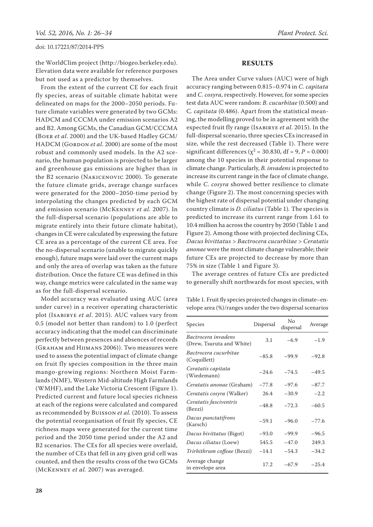the WorldClim project (http://biogeo.berkeley.edu). Elevation data were available for reference purposes but not used as a predictor by themselves.

From the extent of the current CE for each fruit fly species, areas of suitable climate habitat were delineated on maps for the 2000–2050 periods. Future climate variables were generated by two GCMs: HADCM and CCCMA under emission scenarios A2 and B2. Among GCMs, the Canadian GCM/CCCMA **(**Boer *et al*. 2000) and the UK-based Hadley GCM/ HADCM (GORDON *et al.* 2000) are some of the most robust and commonly used models. In the A2 scenario, the human population is projected to be larger and greenhouse gas emissions are higher than in the B2 scenario (Nakicenovic 2000). To generate the future climate grids, average change surfaces were generated for the 2000–2050-time period by interpolating the changes predicted by each GCM and emission scenario (McKenney *et al.* 2007). In the full-dispersal scenario (populations are able to migrate entirely into their future climate habitat), changes in CE were calculated by expressing the future CE area as a percentage of the current CE area. For the no-dispersal scenario (unable to migrate quickly enough), future maps were laid over the current maps and only the area of overlap was taken as the future distribution. Once the future CE was defined in this way, change metrics were calculated in the same way as for the full-dispersal scenario.

Model accuracy was evaluated using AUC (area under curve) in a receiver operating characteristic plot (Isabirye *et al*. 2015). AUC values vary from 0.5 (model not better than random) to 1.0 (perfect accuracy indicating that the model can discriminate perfectly between presences and absences of records (Graham and Hijmans 2006)). Two measures were used to assess the potential impact of climate change on fruit fly species composition in the three main mango-growing regions: Northern Moist Farmlands (NMF), Western Mid-altitude High Farmlands (WMHF), and the Lake Victoria Crescent (Figure 1). Predicted current and future local species richness at each of the regions were calculated and compared as recommended by Buisson *et al.* (2010). To assess the potential reorganisation of fruit fly species, CE richness maps were generated for the current time period and the 2050 time period under the A2 and B2 scenarios. The CEs for all species were overlaid, the number of CEs that fell in any given grid cell was counted, and then the results cross of the two GCMs (McKenney *et al.* 2007) was averaged.

### **RESULTS**

The Area under Curve values (AUC) were of high accuracy ranging between 0.815–0.974 in *C. capitata* and *C. cosyra*, respectively. However, for some species test data AUC were random: *B. cucurbitae* (0.500) and C*. capitata* (0.486). Apart from the statistical meaning, the modelling proved to be in agreement with the expected fruit fly range (Isabirye *et al*. 2015). In the full-dispersal scenario, three species CEs increased in size, while the rest decreased (Table 1). There were significant differences ( $\chi^2$  = 30.830, df = 9, *P* = 0.000) among the 10 species in their potential response to climate change. Particularly, *B. invadens* is projected to increase its current range in the face of climate change, while *C. cosyra* showed better resilience to climate change (Figure 2). The most concerning species with the highest rate of dispersal potential under changing country climate is *D. ciliatus* (Table 1)*.* The species is predicted to increase its current range from 1.61 to 10.4 million ha across the country by 2050 (Table 1 and Figure 2). Among those with projected declining CEs, *Dacus bivittatus > Bactrocera cucurbitae > Ceratatis anonae* were the most climate change vulnerable; their future CEs are projected to decrease by more than 75% in size (Table 1 and Figure 3).

The average centres of future CEs are predicted to generally shift northwards for most species, with

Table 1. Fruit fly species projected changes in climate–envelope area (%)/ranges under the two dispersal scenarios

| Species                                          | Dispersal | No<br>dispersal | Average |  |
|--------------------------------------------------|-----------|-----------------|---------|--|
| Bactrocera invadens<br>(Drew, Tsuruta and White) | 3.1       | $-6.9$          | $-1.9$  |  |
| Bactrocera cucurbitae<br>(Coquillett)            | $-85.8$   | $-99.9$         | $-92.8$ |  |
| Ceratatis capitata<br>(Wiedemann)                | $-24.6$   | $-74.5$         | $-49.5$ |  |
| Ceratatis anonae (Graham)                        | $-77.8$   | $-97.6$         | $-87.7$ |  |
| Ceratatis cosyra (Walker)                        | 26.4      | $-30.9$         | $-2.2$  |  |
| Ceratatis fasciventris<br>(Bezzi)                | $-48.8$   | $-72.3$         | $-60.5$ |  |
| Dacus punctatifrons<br>(Karsch)                  | $-59.1$   | $-96.0$         | $-77.6$ |  |
| Dacus bivittatus (Bigot)                         | $-93.0$   | $-99.9$         | $-96.5$ |  |
| Dacus ciliatus (Loew)                            | 545.5     | $-47.0$         | 249.3   |  |
| Trirhithrum coffeae (Bezzi)                      | $-14.1$   | $-54.3$         | $-34.2$ |  |
| Average change<br>in envelope area               | 17.2      | $-67.9$         | $-25.4$ |  |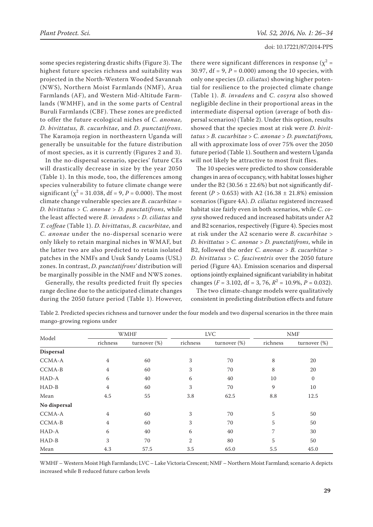some species registering drastic shifts (Figure 3). The highest future species richness and suitability was projected in the North-Western Wooded Savannah (NWS), Northern Moist Farmlands (NMF), Arua Farmlands (AF), and Western Mid-Altitude Farmlands (WMHF), and in the some parts of Central Buruli Farmlands (CBF). These zones are predicted to offer the future ecological niches of *C. anonae, D. bivittatus, B. cucurbitae*, and *D. punctatifrons*. The Karamoja region in northeastern Uganda will generally be unsuitable for the future distribution of most species, as it is currently (Figures 2 and 3).

In the no-dispersal scenario, species' future CEs will drastically decrease in size by the year 2050 (Table 1). In this mode, too, the differences among species vulnerability to future climate change were significant ( $\chi^2$  = 31.038, df = 9, *P* = 0.000). The most climate change vulnerable species are *B. cucurbitae* = *D. bivittatus* > *C. anonae* > *D. punctatifrons*, while the least affected were *B. invadens* > *D. ciliatus* and *T. coffeae* (Table 1). *D. bivittatus*, *B. cucurbitae*, and *C. anonae* under the no-dispersal scenario were only likely to retain marginal niches in WMAF, but the latter two are also predicted to retain isolated patches in the NMFs and Usuk Sandy Loams (USL) zones. In contrast, *D. punctatifrons'* distribution will be marginally possible in the NMF and NWS zones.

Generally, the results predicted fruit fly species range decline due to the anticipated climate changes during the 2050 future period (Table 1). However,

there were significant differences in response ( $\chi^2$  = 30.97,  $df = 9$ ,  $P = 0.000$ ) among the 10 species, with only one species (*D. ciliatus*) showing higher potential for resilience to the projected climate change (Table 1). *B. invadens* and *C. cosyra* also showed negligible decline in their proportional areas in the intermediate dispersal option (average of both dispersal scenarios) (Table 2). Under this option, results showed that the species most at risk were *D. bivittatus* > *B. cucurbitae* > *C. anonae* > *D. punctatifrons,*  all with approximate loss of over 75% over the 2050 future period (Table 1). Southern and western Uganda will not likely be attractive to most fruit flies.

The 10 species were predicted to show considerable changes in area of occupancy, with habitat losses higher under the B2 (30.56  $\pm$  22.6%) but not significantly different ( $P > 0.653$ ) with A2 (16.38  $\pm$  21.8%) emission scenarios (Figure 4A). *D. ciliatus* registered increased habitat size fairly even in both scenarios, while *C. cosyra* showed reduced and increased habitats under A2 and B2 scenarios, respectively (Figure 4). Species most at risk under the A2 scenario were *B. cucurbitae > D. bivittatus* > *C. anonae* > *D. punctatifrons*, while in B2, followed the order *C. anonae > B. cucurbitae > D. bivittatus* > *C. fasciventris* over the 2050 future period (Figure 4A). Emission scenarios and dispersal options jointly explained significant variability in habitat changes ( $F = 3.102$ , df = 3, 76,  $R^2 = 10.9\%$ ,  $P = 0.032$ ).

The two climate-change models were qualitatively consistent in predicting distribution effects and future

| Model            | <b>WMHF</b>    |              | <b>LVC</b> |                 | <b>NMF</b> |                 |
|------------------|----------------|--------------|------------|-----------------|------------|-----------------|
|                  | richness       | turnover (%) | richness   | turnover $(\%)$ | richness   | turnover $(\%)$ |
| <b>Dispersal</b> |                |              |            |                 |            |                 |
| CCMA-A           | 4              | 60           | 3          | 70              | 8          | 20              |
| CCMA-B           | 4              | 60           | 3          | 70              | 8          | 20              |
| HAD-A            | 6              | 40           | 6          | 40              | 10         | $\mathbf{0}$    |
| HAD-B            | 4              | 60           | 3          | 70              | 9          | 10              |
| Mean             | 4.5            | 55           | 3.8        | 62.5            | 8.8        | 12.5            |
| No dispersal     |                |              |            |                 |            |                 |
| CCMA-A           | 4              | 60           | 3          | 70              | 5          | 50              |
| CCMA-B           | $\overline{4}$ | 60           | 3          | 70              | 5          | 50              |
| HAD-A            | 6              | 40           | 6          | 40              | 7          | 30              |
| HAD-B            | 3              | 70           | 2          | 80              | 5          | 50              |
| Mean             | 4.3            | 57.5         | 3.5        | 65.0            | 5.5        | 45.0            |

Table 2. Predicted species richness and turnover under the four models and two dispersal scenarios in the three main mango-growing regions under

WMHF – Western Moist High Farmlands; LVC – Lake Victoria Crescent; NMF – Northern Moist Farmland; scenario A depicts increased while B reduced future carbon levels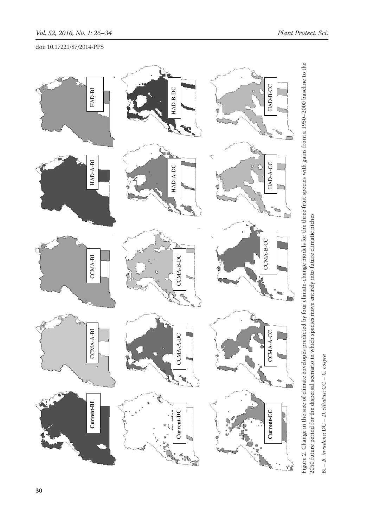

Figure 2. Change in the size of climate envelopes predicted by four climate-change models for the three fruit species with gains from a 1950-2000 baseline to the Figure 2. Change in the size of climate envelopes predicted by four climate-change models for the three fruit species with gains from a 1950–2000 baseline to the 2050 future period for the dispersal scenario in which species move entirely into future climatic niches 2050 future period for the dispersal scenario in which species move entirely into future climatic niches

doi: 10.17221/87/2014-PPS

**30**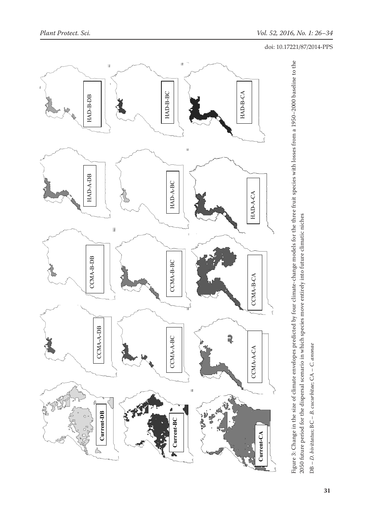

# Figure 3: Change in the size of climate envelopes predicted by four climate-change models for the three fruit species with losses from a 1950-2000 baseline to the Figure 3: Change in the size of climate envelopes predicted by four climate-change models for the three fruit species with losses from a 1950–2000 baseline to the 2050 future period for the dispersal scenario in which species move entirely into future climatic niches 2050 future period for the dispersal scenario in which species move entirely into future climatic niches  $DB - D$ . bivittatus;  $BC - B$ . cucurbitae;  $CA - C$ . anonae DB – *D. bivittatus*; BC – *B. cucurbitae*; CA – *C. anonae*

**31**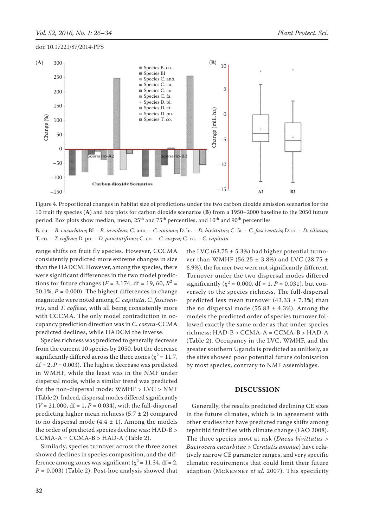

Figure 4. Proportional changes in habitat size of predictions under the two carbon dioxide emission scenarios for the 10 fruit fly species (**A**) and box plots for carbon dioxide scenarios (**B**) from a 1950–2000 baseline to the 2050 future period. Box plots show median, mean,  $25<sup>th</sup>$  and  $75<sup>th</sup>$  percentiles, and  $10<sup>th</sup>$  and  $90<sup>th</sup>$  percentiles

B. cu. – *B. cucurbitae*; BI – *B. invadens*; C. ano. – *C. anonae*; D. bi. – *D. bivittatus*; C. fa*. –* C*. fasciventris*; D. ci. – *D. ciliatus*; T. co*. – T. coffeae;* D. pu. – *D. punctatifrons;* C. co*. – C. cosyra;* C. ca. – *C. capitata*

range shifts on fruit fly species. However, CCCMA consistently predicted more extreme changes in size than the HADCM. However, among the species, there were significant differences in the two model predictions for future changes ( $F = 3.174$ , df = 19, 60,  $R^2 =$ 50.1%,  $P = 0.000$ ). The highest differences in change magnitude were noted among *C. capitata*, *C. fasciventris*, and *T. coffeae*, with all being consistently more with CCCMA. The only model contradiction in occupancy prediction direction was in *C. cosyra*-CCMA predicted declines, while HADCM the inverse.

Species richness was predicted to generally decrease from the current 10 species by 2050, but the decrease significantly differed across the three zones ( $\chi^2$  = 11.7,  $df = 2, P = 0.003$ . The highest decrease was predicted in WMHF, while the least was in the NMF under dispersal mode, while a similar trend was predicted for the non-dispersal mode: WMHF > LVC > NMF (Table 2). Indeed, dispersal modes differed significantly  $(V = 21.000, df = 1, P = 0.034)$ , with the full-dispersal predicting higher mean richness  $(5.7 \pm 2)$  compared to no dispersal mode  $(4.4 \pm 1)$ . Among the models the order of predicted species decline was: HAD-B > CCMA-A = CCMA-B > HAD-A (Table 2).

Similarly, species turnover across the three zones showed declines in species composition, and the difference among zones was significant ( $\chi^2$  = 11.34, df = 2,  $P = 0.003$ ) (Table 2). Post-hoc analysis showed that

the no dispersal mode (55.83  $\pm$  4.3%). Among the models the predicted order of species turnover followed exactly the same order as that under species richness: HAD-B > CCMA-A = CCMA-B > HAD-A (Table 2). Occupancy in the LVC, WMHF, and the greater southern Uganda is predicted as unlikely, as the sites showed poor potential future colonisation by most species, contrary to NMF assemblages. **DISCUSSION** Generally, the results predicted declining CE sizes in the future climates, which is in agreement with

other studies that have predicted range shifts among tephritid fruit flies with climate change (FAO 2008). The three species most at risk (*Dacus bivittatus > Bactrocera cucurbitae > Ceratatis anonae*) have relatively narrow CE parameter ranges, and very specific climatic requirements that could limit their future adaption (McKenney *et al.* 2007). This specificity

the LVC (63.75  $\pm$  5.3%) had higher potential turnover than WMHF (56.25  $\pm$  3.8%) and LVC (28.75  $\pm$ 6.9%), the former two were not significantly different. Turnover under the two dispersal modes differed significantly ( $\chi^2$  = 0.000, df = 1, *P* = 0.031), but conversely to the species richness. The full-dispersal predicted less mean turnover  $(43.33 \pm 7.3%)$  than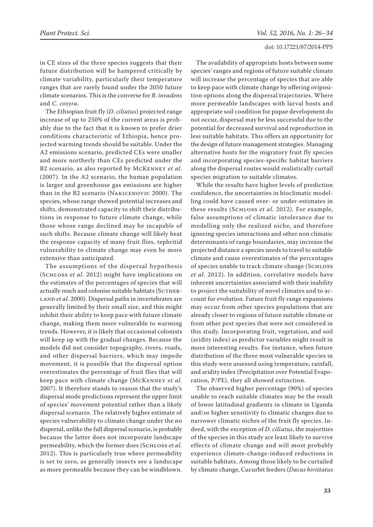in CE sizes of the three species suggests that their future distribution will be hampered critically by climate variability, particularly their temperature ranges that are rarely found under the 2050 future climate scenarios. This is the converse for *B. invadens* and *C. cosyra.* 

The Ethiopian fruit fly (*D. ciliatus*) projected range increase of up to 250% of the current areas is probably due to the fact that it is known to prefer drier conditions characteristic of Ethiopia, hence projected warming trends should be suitable. Under the A2 emissions scenario, predicted CEs were smaller and more northerly than CEs predicted under the B2 scenario, as also reported by McKenney *et al.* (2007). In the A2 scenario, the human population is larger and greenhouse gas emissions are higher than in the B2 scenario (Nakicenovic 2000). The species, whose range showed potential increases and shifts, demonstrated capacity to shift their distributions in response to future climate change, while those whose range declined may be incapable of such shifts. Because climate change will likely beat the response capacity of many fruit flies, tephritid vulnerability to climate change may even be more extensive than anticipated.

The assumptions of the dispersal hypothesis (Schloss *et al.* 2012) might have implications on the estimates of the percentages of species that will actually reach and colonise suitable habitats (SUTHER-LAND et al. 2000). Dispersal paths in invertebrates are generally limited by their small size, and this might inhibit their ability to keep pace with future climate change, making them more vulnerable to warming trends. However, it is likely that occasional colonists will keep up with the gradual changes. Because the models did not consider topography, rivers, roads, and other dispersal barriers, which may impede movement, it is possible that the dispersal option overestimates the percentage of fruit flies that will keep pace with climate change (McKenney *et al.* 2007). It therefore stands to reason that the study's dispersal mode predictions represent the upper limit of species' movement potential rather than a likely dispersal scenario. The relatively higher estimate of species vulnerability to climate change under the no dispersal, unlike the full dispersal scenario, is probably because the latter does not incorporate landscape permeability, which the former does (Schloss *et al.* 2012). This is particularly true where permeability is set to zero, as generally insects see a landscape as more permeable because they can be windblown.

The availability of appropriate hosts between some species' ranges and regions of future suitable climate will increase the percentage of species that are able to keep pace with climate change by offering oviposition options along the dispersal trajectories. Where more permeable landscapes with larval hosts and appropriate soil condition for pupae development do not occur, dispersal may be less successful due to the potential for decreased survival and reproduction in less suitable habitats. This offers an opportunity for the design of future management strategies. Managing alternative hosts for the migratory fruit fly species and incorporating species-specific habitat barriers along the dispersal routes would realistically curtail species migration to suitable climates.

While the results have higher levels of prediction confidence, the uncertainties in bioclimatic modelling could have caused over- or under-estimates in these results (Schloss *et al.* 2012). For example, false assumptions of climatic intolerance due to modelling only the realized niche, and therefore ignoring species interactions and other non climatic determinants of range boundaries, may increase the projected distance a species needs to travel to suitable climate and cause overestimates of the percentages of species unable to track climate change (Schloss *et al.* 2012). In addition, correlative models have inherent uncertainties associated with their inability to project the suitability of novel climates and to account for evolution. Future fruit fly range expansions may occur from other species populations that are already closer to regions of future suitable climate or from other pest species that were not considered in this study. Incorporating fruit, vegetation, and soil (aridity index) as predictor variables might result in more interesting results. For instance, when future distribution of the three most vulnerable species in this study were assessed using temperature, rainfall, and aridity index (Precipitation over Potential Evaporation, P/PE), they all showed extinction.

The observed higher percentage (90%) of species unable to reach suitable climates may be the result of lower latitudinal gradients in climate in Uganda and/or higher sensitivity to climatic changes due to narrower climatic niches of the fruit fly species. Indeed, with the exception of *D. ciliatus*, the majorities of the species in this study are least likely to survive effects of climate change and will most probably experience climate-change-induced reductions in suitable habitats. Among those likely to be curtailed by climate change, Cucurbit feeders (*Dacus bivittatus*